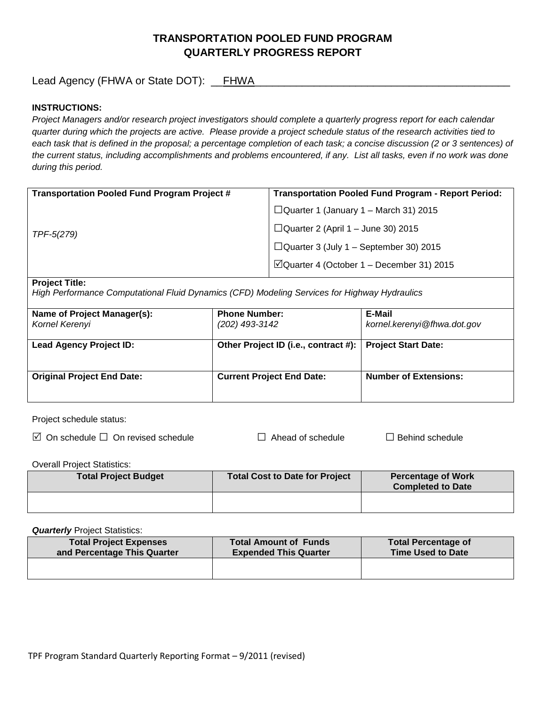# **TRANSPORTATION POOLED FUND PROGRAM QUARTERLY PROGRESS REPORT**

Lead Agency (FHWA or State DOT): \_\_FHWA\_\_\_\_\_\_\_\_\_\_\_\_\_\_\_\_\_\_\_\_\_\_\_\_\_\_\_\_\_\_\_\_\_\_\_\_\_\_\_\_\_\_\_

## **INSTRUCTIONS:**

*Project Managers and/or research project investigators should complete a quarterly progress report for each calendar quarter during which the projects are active. Please provide a project schedule status of the research activities tied to*  each task that is defined in the proposal; a percentage completion of each task; a concise discussion (2 or 3 sentences) of *the current status, including accomplishments and problems encountered, if any. List all tasks, even if no work was done during this period.*

| <b>Transportation Pooled Fund Program Project #</b> | <b>Transportation Pooled Fund Program - Report Period:</b> |
|-----------------------------------------------------|------------------------------------------------------------|
| TPF-5(279)                                          | $\Box$ Quarter 1 (January 1 – March 31) 2015               |
|                                                     | $\Box$ Quarter 2 (April 1 – June 30) 2015                  |
|                                                     | $\Box$ Quarter 3 (July 1 – September 30) 2015              |
|                                                     | $\Box$ Quarter 4 (October 1 – December 31) 2015            |
|                                                     |                                                            |

#### **Project Title:**

*High Performance Computational Fluid Dynamics (CFD) Modeling Services for Highway Hydraulics*

| Name of Project Manager(s):<br>Kornel Kerenyi | <b>Phone Number:</b><br>(202) 493-3142 | E-Mail<br>kornel.kerenyi@fhwa.dot.gov |
|-----------------------------------------------|----------------------------------------|---------------------------------------|
| <b>Lead Agency Project ID:</b>                | Other Project ID (i.e., contract #):   | <b>Project Start Date:</b>            |
| <b>Original Project End Date:</b>             | <b>Current Project End Date:</b>       | <b>Number of Extensions:</b>          |

Project schedule status:

On schedule □ On revised schedule □ Ahead of schedule □ Behind schedule

Overall Project Statistics:

| <b>Total Project Budget</b> | Total Cost to Date for Project | <b>Percentage of Work</b><br><b>Completed to Date</b> |
|-----------------------------|--------------------------------|-------------------------------------------------------|
|                             |                                |                                                       |

**Quarterly** Project Statistics:

| <b>Total Project Expenses</b><br>and Percentage This Quarter | <b>Total Amount of Funds</b><br><b>Expended This Quarter</b> | <b>Total Percentage of</b><br><b>Time Used to Date</b> |
|--------------------------------------------------------------|--------------------------------------------------------------|--------------------------------------------------------|
|                                                              |                                                              |                                                        |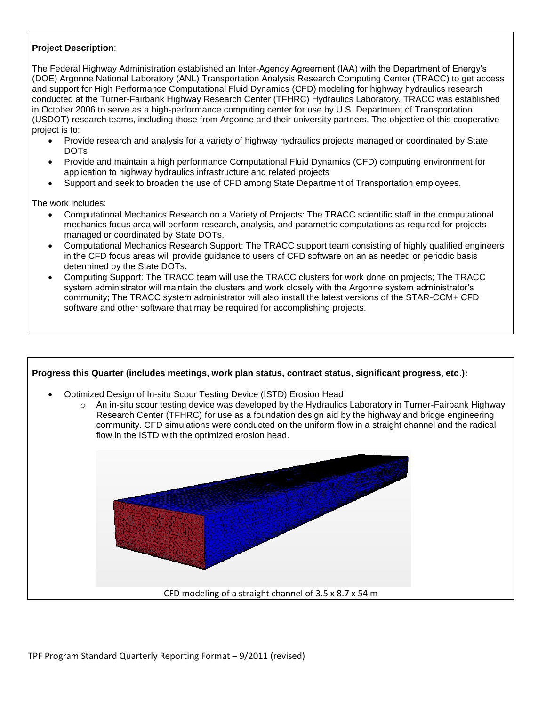## **Project Description**:

The Federal Highway Administration established an Inter-Agency Agreement (IAA) with the Department of Energy's (DOE) Argonne National Laboratory (ANL) Transportation Analysis Research Computing Center (TRACC) to get access and support for High Performance Computational Fluid Dynamics (CFD) modeling for highway hydraulics research conducted at the Turner-Fairbank Highway Research Center (TFHRC) Hydraulics Laboratory. TRACC was established in October 2006 to serve as a high-performance computing center for use by U.S. Department of Transportation (USDOT) research teams, including those from Argonne and their university partners. The objective of this cooperative project is to:

- Provide research and analysis for a variety of highway hydraulics projects managed or coordinated by State DOTs
- Provide and maintain a high performance Computational Fluid Dynamics (CFD) computing environment for application to highway hydraulics infrastructure and related projects
- Support and seek to broaden the use of CFD among State Department of Transportation employees.

The work includes:

- Computational Mechanics Research on a Variety of Projects: The TRACC scientific staff in the computational mechanics focus area will perform research, analysis, and parametric computations as required for projects managed or coordinated by State DOTs.
- Computational Mechanics Research Support: The TRACC support team consisting of highly qualified engineers in the CFD focus areas will provide guidance to users of CFD software on an as needed or periodic basis determined by the State DOTs.
- Computing Support: The TRACC team will use the TRACC clusters for work done on projects; The TRACC system administrator will maintain the clusters and work closely with the Argonne system administrator's community; The TRACC system administrator will also install the latest versions of the STAR-CCM+ CFD software and other software that may be required for accomplishing projects.

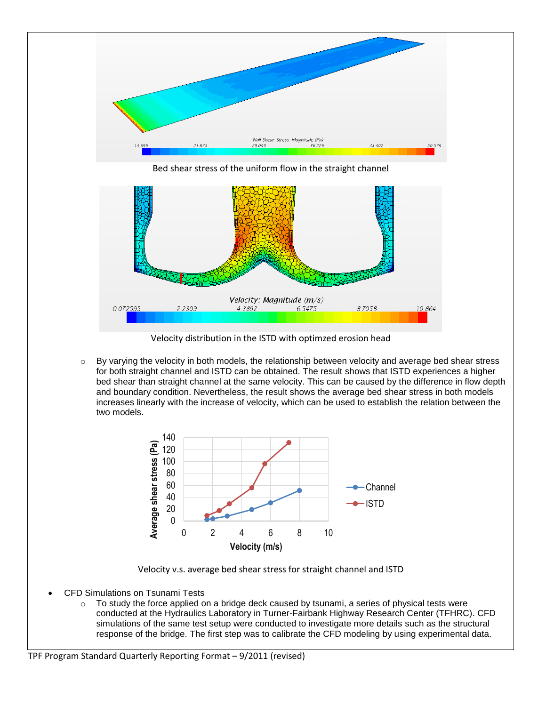

Velocity distribution in the ISTD with optimzed erosion head

o By varying the velocity in both models, the relationship between velocity and average bed shear stress for both straight channel and ISTD can be obtained. The result shows that ISTD experiences a higher bed shear than straight channel at the same velocity. This can be caused by the difference in flow depth and boundary condition. Nevertheless, the result shows the average bed shear stress in both models increases linearly with the increase of velocity, which can be used to establish the relation between the two models.



Velocity v.s. average bed shear stress for straight channel and ISTD

- CFD Simulations on Tsunami Tests
	- o To study the force applied on a bridge deck caused by tsunami, a series of physical tests were conducted at the Hydraulics Laboratory in Turner-Fairbank Highway Research Center (TFHRC). CFD simulations of the same test setup were conducted to investigate more details such as the structural response of the bridge. The first step was to calibrate the CFD modeling by using experimental data.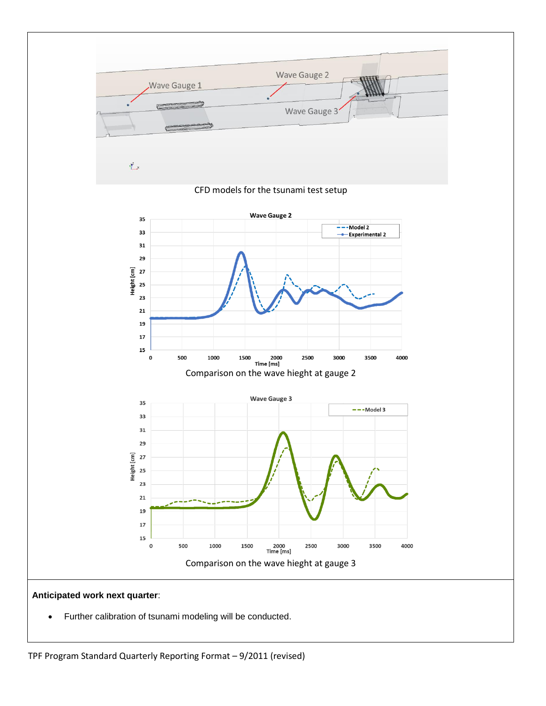

Further calibration of tsunami modeling will be conducted.